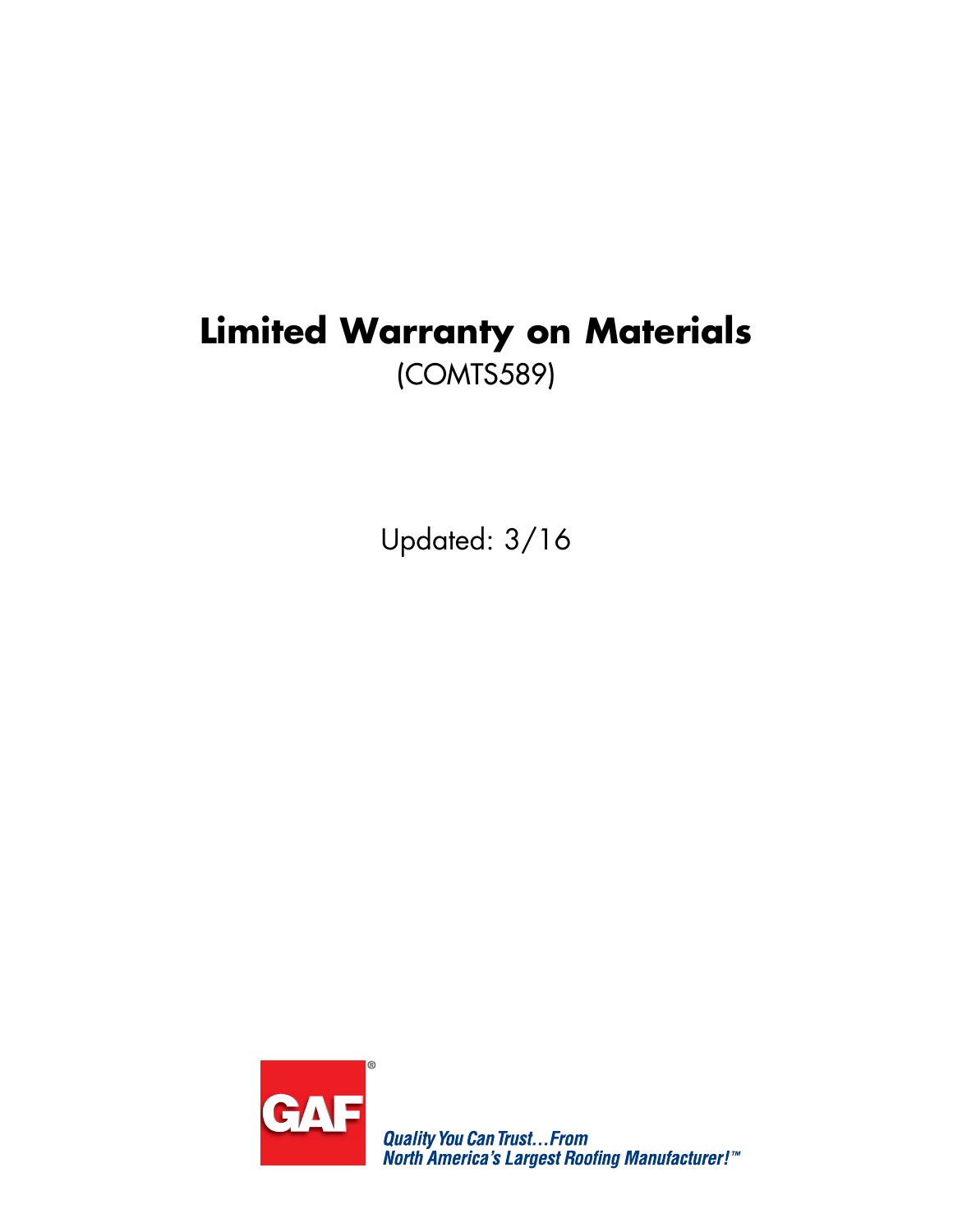# **Limited Warranty on Materials** (COMTS589)

Updated: 3/16



**Quality You Can Trust...From<br>North America's Largest Roofing Manufacturer!"**